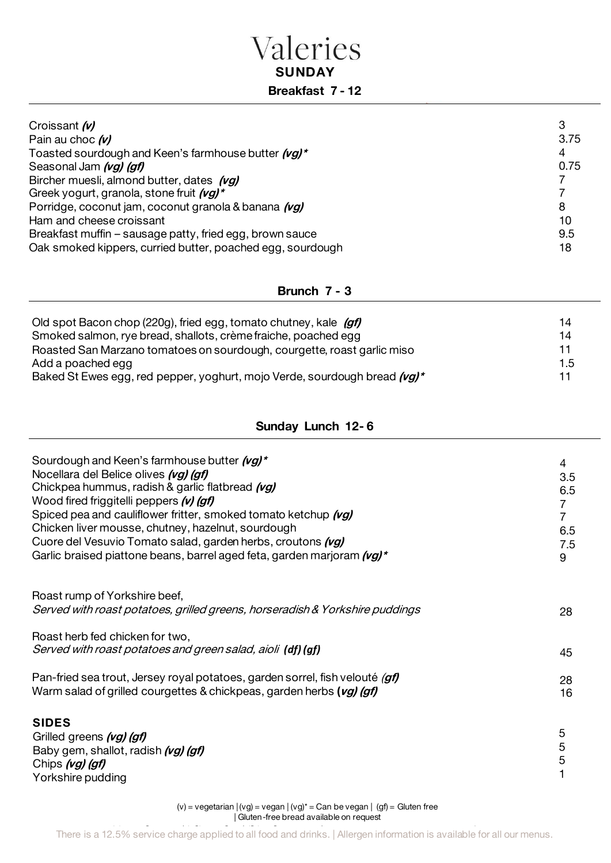### Valeries **SUNDAY Breakfast 7 - 12**

| Croissant (v)<br>З<br>Pain au choc $(v)$<br>Toasted sourdough and Keen's farmhouse butter (vg)*<br>4<br>Seasonal Jam (vg) (gf)<br>Bircher muesli, almond butter, dates (vg)<br>Greek yogurt, granola, stone fruit (vg)*<br>Porridge, coconut jam, coconut granola & banana (vg)<br>8<br>Ham and cheese croissant<br>10<br>9.5<br>Breakfast muffin – sausage patty, fried egg, brown sauce | 3.75<br>0.75 |
|-------------------------------------------------------------------------------------------------------------------------------------------------------------------------------------------------------------------------------------------------------------------------------------------------------------------------------------------------------------------------------------------|--------------|
| Oak smoked kippers, curried butter, poached egg, sourdough<br>18                                                                                                                                                                                                                                                                                                                          |              |

#### **Brunch 7 - 3**

| Old spot Bacon chop (220g), fried egg, tomato chutney, kale (gf)          | 14  |
|---------------------------------------------------------------------------|-----|
| Smoked salmon, rye bread, shallots, crème fraiche, poached egg            | 14  |
| Roasted San Marzano tomatoes on sourdough, courgette, roast garlic miso   | 11  |
| Add a poached egg                                                         | 1.5 |
| Baked St Ewes egg, red pepper, yoghurt, mojo Verde, sourdough bread (vg)* | 11  |

#### **Sunday Lunch 12- 6**

| Sourdough and Keen's farmhouse butter (vg)*<br>Nocellara del Belice olives (vg) (gf)<br>Chickpea hummus, radish & garlic flatbread (vg)<br>Wood fired friggitelli peppers (v) (gf)<br>Spiced pea and cauliflower fritter, smoked tomato ketchup (vg)<br>Chicken liver mousse, chutney, hazelnut, sourdough<br>Cuore del Vesuvio Tomato salad, garden herbs, croutons (vg)<br>Garlic braised piattone beans, barrel aged feta, garden marjoram (vg)* | 4<br>3.5<br>6.5<br>$\overline{7}$<br>7<br>6.5<br>7.5<br>9 |
|-----------------------------------------------------------------------------------------------------------------------------------------------------------------------------------------------------------------------------------------------------------------------------------------------------------------------------------------------------------------------------------------------------------------------------------------------------|-----------------------------------------------------------|
| Roast rump of Yorkshire beef,<br>Served with roast potatoes, grilled greens, horseradish & Yorkshire puddings                                                                                                                                                                                                                                                                                                                                       | 28                                                        |
| Roast herb fed chicken for two,<br>Served with roast potatoes and green salad, aioli (df) (gf)                                                                                                                                                                                                                                                                                                                                                      | 45                                                        |
| Pan-fried sea trout, Jersey royal potatoes, garden sorrel, fish velouté (gf)<br>Warm salad of grilled courgettes & chickpeas, garden herbs (vg) (gf)                                                                                                                                                                                                                                                                                                | 28<br>16                                                  |
| <b>SIDES</b><br>Grilled greens (vg) (gf)<br>Baby gem, shallot, radish (vg) (gf)<br>Chips (vg) (gf)<br>Yorkshire pudding                                                                                                                                                                                                                                                                                                                             | 5<br>5<br>5                                               |

(victor = vegan available on request.)<br>The vegan in the gluten free bread available on request. (v) = vegetarian | (vg) = vegan | (vg)\* = Can be vegan | (gf) = Gluten free | Gluten-free bread available on request